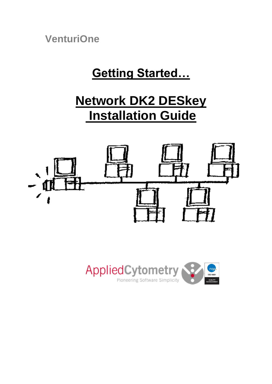**VenturiOne**

# **Getting Started…**

# **Network DK2 DESkey Installation Guide**



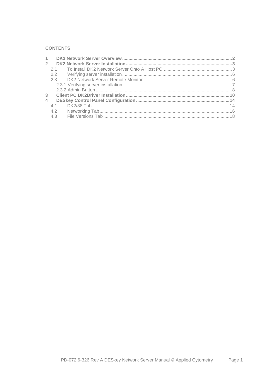## **CONTENTS**

| $2^{\circ}$ |               |  |
|-------------|---------------|--|
|             |               |  |
|             | $2.2^{\circ}$ |  |
|             |               |  |
|             |               |  |
|             |               |  |
| 3           |               |  |
| 4           |               |  |
|             |               |  |
|             | 4.2           |  |
|             | 4.3           |  |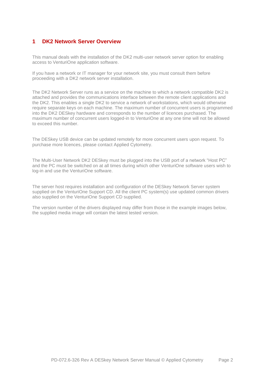# <span id="page-3-0"></span>**1 DK2 Network Server Overview**

This manual deals with the installation of the DK2 multi-user network server option for enabling access to VenturiOne application software.

If you have a network or IT manager for your network site, you must consult them before proceeding with a DK2 network server installation.

The DK2 Network Server runs as a service on the machine to which a network compatible DK2 is attached and provides the communications interface between the remote client applications and the DK2. This enables a single DK2 to service a network of workstations, which would otherwise require separate keys on each machine. The maximum number of concurrent users is programmed into the DK2 DESkey hardware and corresponds to the number of licences purchased. The maximum number of concurrent users logged-in to VenturiOne at any one time will not be allowed to exceed this number.

The DESkey USB device can be updated remotely for more concurrent users upon request. To purchase more licences, please contact Applied Cytometry.

The Multi-User Network DK2 DESkey must be plugged into the USB port of a network "Host PC" and the PC must be switched on at all times during which other VenturiOne software users wish to log-in and use the VenturiOne software.

The server host requires installation and configuration of the DESkey Network Server system supplied on the VenturiOne Support CD. All the client PC system(s) use updated common drivers also supplied on the VenturiOne Support CD supplied.

The version number of the drivers displayed may differ from those in the example images below, the supplied media image will contain the latest tested version.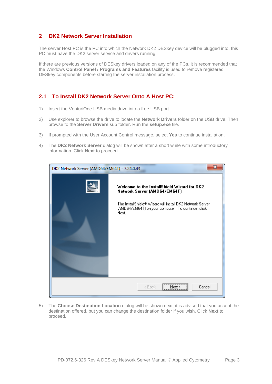# <span id="page-4-0"></span>**2 DK2 Network Server Installation**

The server Host PC is the PC into which the Network DK2 DESkey device will be plugged into, this PC must have the DK2 server service and drivers running.

If there are previous versions of DESkey drivers loaded on any of the PCs, it is recommended that the Windows **Control Panel / Programs and Features** facility is used to remove registered DESkey components before starting the server installation process.

# <span id="page-4-1"></span>**2.1 To Install DK2 Network Server Onto A Host PC:**

- 1) Insert the VenturiOne USB media drive into a free USB port.
- 2) Use explorer to browse the drive to locate the **Network Drivers** folder on the USB drive. Then browse to the **Server Drivers** sub folder. Run the **setup.exe** file.
- 3) If prompted with the User Account Control message, select **Yes** to continue installation.
- 4) The **DK2 Network Server** dialog will be shown after a short while with some introductory information. Click **Next** to proceed.



5) The **Choose Destination Location** dialog will be shown next, it is advised that you accept the destination offered, but you can change the destination folder if you wish. Click **Next** to proceed.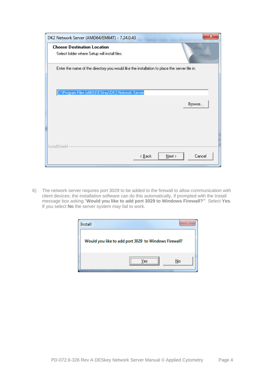| x<br>DK2 Network Server (AMD64/EM64T) - 7.24.0.43                                                                                                |  |
|--------------------------------------------------------------------------------------------------------------------------------------------------|--|
| <b>Choose Destination Location</b><br>Select folder where Setup will install files.                                                              |  |
| Enter the name of the directory you would like the installation to place the server file in.<br>C:\Program Files (x86)\DESkey\DK2 Network Server |  |
| Browse                                                                                                                                           |  |
| InstallShield<br>Cancel<br>< <u>B</u> ack<br>$N$ ext >                                                                                           |  |

6) The network server requires port 3029 to be added to the firewall to allow communication with client devices; the installation software can do this automatically, if prompted with the Install message box asking "**Would you like to add port 3029 to Windows Firewall?"** Select **Yes**. If you select **No** the server system may fail to work.

| Install |                                                      |
|---------|------------------------------------------------------|
|         | Would you like to add port 3029 to Windows Firewall? |
|         | <br>No<br>er                                         |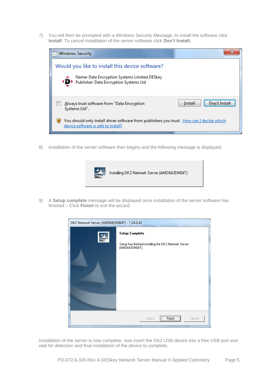7) You will then be prompted with a Windows Security Message, to install the software click **Install**. To cancel installation of the server software click **Don't Install.**



8) Installation of the server software then begins and the following message is displayed;



9) A **Setup complete** message will be displayed once installation of the server software has finished – Click **Finish** to exit the wizard.

| DK2 Network Server (AMD64/EM64T) - 7.24.0.43 |                                                                                                 |
|----------------------------------------------|-------------------------------------------------------------------------------------------------|
|                                              | <b>Setup Complete</b><br>Setup has finished installing the DK2 Network Server<br>(AMD64/EM64T). |
|                                              |                                                                                                 |
|                                              | $[$ Finish $]$<br>< Back<br>Cancel                                                              |

Installation of the server is now complete, now insert the DK2 USB device into a free USB port and wait for detection and final installation of the device to complete.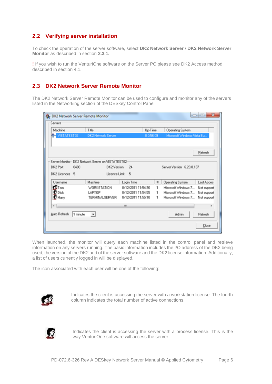# <span id="page-7-0"></span>**2.2 Verifying server installation**

To check the operation of the server software, select **DK2 Network Server** / **DK2 Network Server Monitor** as described in section **[2.3.1.](#page-8-0)**

**!** If you wish to run the VenturiOne software on the Server PC please see DK2 Access method described in section [4.1.](#page-15-1)

# <span id="page-7-1"></span>**2.3 DK2 Network Server Remote Monitor**

The DK2 Network Server Remote Monitor can be used to configure and monitor any of the servers listed in the Networking section of the DESkey Control Panel.

| Machine                   | Title                                                             |                                          | Up-Time   | <b>Operating System</b>                    |                            |  |
|---------------------------|-------------------------------------------------------------------|------------------------------------------|-----------|--------------------------------------------|----------------------------|--|
| <b>MISTATEST02</b>        | <b>DK2 Network Server</b>                                         |                                          | 0.0.56.09 | Microsoft Windows Vista Bu                 |                            |  |
|                           |                                                                   |                                          |           |                                            | Refresh                    |  |
| DK2 Port<br>0400          | Server Monitor - DK2 Network Server on VISTATEST02<br>DK2 Version | 24                                       |           | Server Version 6.23.0.137                  |                            |  |
| DK2 Licences 5            | Licence Limit                                                     | - 5                                      |           |                                            |                            |  |
|                           |                                                                   |                                          |           |                                            |                            |  |
| Username                  | Machine                                                           | Login Time                               | $\sharp$  | <b>Operating System</b>                    | Last Acces:                |  |
| $\mathbb{R}$ Tom          | <b>WORKSTATION</b>                                                | 8/12/2011 11:54:36                       | 1         | Microsoft Windows 7                        | Not support                |  |
| $D$ Dick<br>$\Omega$ Hany | LAPTOP<br>TERMINALSERVER                                          | 8/12/2011 11:54:55<br>8/12/2011 11:55:10 | 1<br>1    | Microsoft Windows 7<br>Microsoft Windows 7 | Not support<br>Not support |  |
| $\leftarrow$              |                                                                   | m.                                       |           |                                            | ٠                          |  |

When launched, the monitor will query each machine listed in the control panel and retrieve information on any servers running. The basic information includes the I/O address of the DK2 being used, the version of the DK2 and of the server software and the DK2 license information. Additionally, a list of users currently logged in will be displayed.

The icon associated with each user will be one of the following:



Indicates the client is accessing the server with a workstation license. The fourth column indicates the total number of active connections.



Indicates the client is accessing the server with a process license. This is the way VenturiOne software will access the server.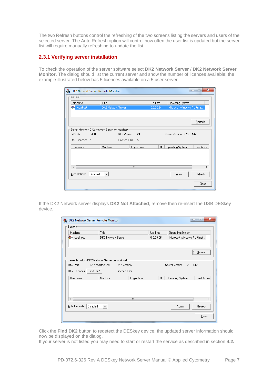The two Refresh buttons control the refreshing of the two screens listing the servers and users of the selected server. The Auto Refresh option will control how often the user list is updated but the server list will require manually refreshing to update the list.

# <span id="page-8-0"></span>**2.3.1 Verifying server installation**

To check the operation of the server software select **DK2 Network Server** / **DK2 Network Server Monitor.** The dialog should list the current server and show the number of licences available; the example illustrated below has 5 licences available on a 5 user server.

| <b>A</b> DK2 Network Server Remote Monitor       |                         |            |           |                             | $\mathbf{x}$<br>٠é<br>$\Box$ |
|--------------------------------------------------|-------------------------|------------|-----------|-----------------------------|------------------------------|
| Servers-                                         |                         |            |           |                             |                              |
| Machine                                          | Title                   |            | Up-Time   | <b>Operating System</b>     |                              |
| <b>e</b> localhost                               | DK2 Network Server      |            | 0.0:00:34 | Microsoft Windows 7 Ultimat |                              |
|                                                  |                         |            |           |                             |                              |
|                                                  |                         |            |           |                             |                              |
|                                                  |                         |            |           |                             | Refresh                      |
| Server Monitor - DK2 Network Server on localhost |                         |            |           |                             |                              |
| DK2 Port<br>0400                                 | DK2 Version             | 24         |           | Server Version 6.28.0.142   |                              |
| DK2 Licences 5                                   | Licence Limit           | 5          |           |                             |                              |
| Username                                         | Machine                 | Login Time | #         | <b>Operating System</b>     | Last Acces:                  |
|                                                  |                         |            |           |                             |                              |
|                                                  |                         |            |           |                             |                              |
|                                                  |                         |            |           |                             |                              |
| ∢                                                |                         | Ш          |           |                             |                              |
| Auto Refresh<br>Disabled                         | $\vert \bm{\tau} \vert$ |            |           | Admin                       | Refresh                      |
|                                                  |                         |            |           | Close                       |                              |

If the DK2 Network server displays **DK2 Not Attached**, remove then re-insert the USB DESkey device.

| <b>&amp;</b> DK2 Network Server Remote Monitor |                                                  |            |   | $\Box$                      | $\mathbf{x}$<br>ادار |                  |  |
|------------------------------------------------|--------------------------------------------------|------------|---|-----------------------------|----------------------|------------------|--|
| Servers                                        |                                                  |            |   |                             |                      |                  |  |
| Machine                                        | Title                                            |            |   | Up-Time                     |                      | Operating System |  |
| <mark>- localhost</mark>                       | DK2 Network Server                               |            |   | Microsoft Windows 7 Ultimat |                      |                  |  |
|                                                |                                                  |            |   |                             |                      |                  |  |
|                                                |                                                  |            |   |                             | <b>E</b> efresh      |                  |  |
|                                                | Server Monitor - DK2 Network Server on localhost |            |   |                             |                      |                  |  |
| DK2 Port                                       | DK2 Not Attached<br>DK2 Version                  |            |   | Server Version 6.28.0.142   |                      |                  |  |
| Find DK2<br>DK2 Licences                       | Licence Limit                                    |            |   |                             |                      |                  |  |
| Username                                       | Machine                                          | Login Time | # | <b>Operating System</b>     | Last Acces:          |                  |  |
|                                                |                                                  |            |   |                             |                      |                  |  |
| ∢                                              |                                                  | Ш          |   |                             |                      |                  |  |
| Auto Refresh                                   | Disabled<br>$\blacktriangledown$                 |            |   | Admin                       | Refresh              |                  |  |
|                                                |                                                  |            |   |                             | Close                |                  |  |

Click the **Find DK2** button to redetect the DESkey device, the updated server information should now be displayed on the dialog.

If your server is not listed you may need to start or restart the service as described in section **[4.2.](#page-17-0)**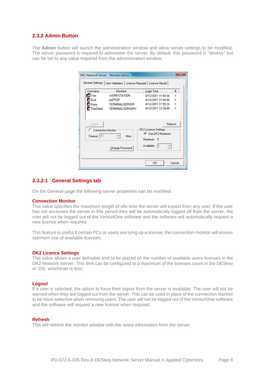### <span id="page-9-0"></span>**2.3.2 Admin Button**

The **Admin** button will launch the administration window and allow server settings to be modified. The server password is required to administer the server. By default, this password is "deskey" but can be set to any value required from the administration window.

| Username                         | Machine                    | Login Time                                | $\mathbf{H}$ |  |
|----------------------------------|----------------------------|-------------------------------------------|--------------|--|
| <b>ET</b> Tom                    | WORKSTATION                | 8/12/2011 11:54:36                        |              |  |
| <b>Dick</b>                      | LAPTOP                     | 8/12/2011 11:54:55                        | 1            |  |
| <b>R</b> Hany                    | TERMINALSERVER             | 8/12/2011 11:55:10                        |              |  |
|                                  | ThinClient TERMINALSERVERV | 8/12/2011 12:34:48                        | 1            |  |
| Connection Monitor<br>Timeout 30 | H<br>Mine                  | DK2 Licence Settings<br>V Use DK2 Maximum |              |  |
|                                  |                            | Maximum 5                                 |              |  |
|                                  | Change Password            | 극<br>Available 5                          |              |  |

## **2.3.2.1 General Settings tab**

On the General page the following server properties can be modified:

#### **Connection Monitor**

This value specifies the maximum length of idle time the server will expect from any user. If the user has not accessed the server in this period they will be automatically logged off from the server, the user will not be logged out of the VenturiOne software and the software will automatically request a new license when required.

This feature is useful if certain PCs or users are tying up a license, the connection monitor will ensure optimum use of available licenses.

#### **DK2 Licence Settings**

This value allows a user definable limit to be placed on the number of available users licenses in the DK2 Network Server. This limit can be configured to a maximum of the licenses count in the DESkey or 255, whichever is less.

#### **Logout**

If a user is selected, the option to force their logout from the server is available. The user will not be warned when they are logged out from the server. This can be used in place of the connection monitor to be more selective when removing users. The user will not be logged out of the VenturiOne software and the software will request a new license when required.

#### **Refresh**

This will refresh the monitor window with the latest information from the server.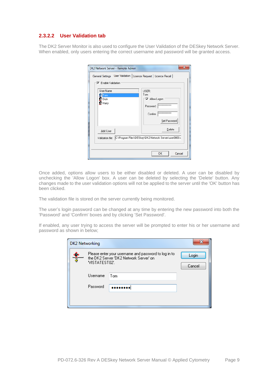## **2.3.2.2 User Validation tab**

The DK2 Server Monitor is also used to configure the User Validation of the DESkey Network Server. When enabled, only users entering the correct username and password will be granted access.

| DK2 Network Server - Remote Admin<br>General Settings   User Validation   Licence Request   Licence Recall  <br><b>▽</b> Enable Validation<br>User Name | х<br><b>HSER:</b>                                                                               |
|---------------------------------------------------------------------------------------------------------------------------------------------------------|-------------------------------------------------------------------------------------------------|
| f Tom                                                                                                                                                   | Tom                                                                                             |
| $\Omega$ Dick<br>$\Omega$ Harry                                                                                                                         | √ Allow Logon<br><b>xxxxxxxxxxxxxx</b><br>Password<br>**************<br>Confirm<br>Set Password |
| Add User                                                                                                                                                | Delete                                                                                          |
| Validation file:                                                                                                                                        | C:\Program Files\DESkey\DK2 Network Server\user0000.c                                           |
|                                                                                                                                                         | OK<br>Cancel                                                                                    |

Once added, options allow users to be either disabled or deleted. A user can be disabled by unchecking the 'Allow Logon' box. A user can be deleted by selecting the 'Delete' button. Any changes made to the user validation options will not be applied to the server until the 'OK' button has been clicked.

The validation file is stored on the server currently being monitored.

The user's login password can be changed at any time by entering the new password into both the 'Password' and 'Confirm' boxes and by clicking 'Set Password'.

If enabled, any user trying to access the server will be prompted to enter his or her username and password as shown in below;

|   | <b>DK2 Networking</b> |                                                                                                |                 |
|---|-----------------------|------------------------------------------------------------------------------------------------|-----------------|
| Φ | VISTATEST02'.         | Please enter your username and password to log in to<br>the DK2 Server 'DK2 Network Server' on | Login<br>Cancel |
|   | Username              | Tom                                                                                            |                 |
|   | Password              |                                                                                                |                 |
|   |                       |                                                                                                |                 |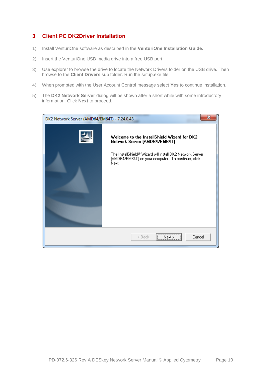# <span id="page-11-0"></span>**3 Client PC DK2Driver Installation**

- 1) Install VenturiOne software as described in the **VenturiOne Installation Guide.**
- 2) Insert the VenturiOne USB media drive into a free USB port.
- 3) Use explorer to browse the drive to locate the Network Drivers folder on the USB drive. Then browse to the **Client Drivers** sub folder. Run the setup.exe file.
- 4) When prompted with the User Account Control message select **Yes** to continue installation.
- 5) The **DK2 Network Server** dialog will be shown after a short while with some introductory information. Click **Next** to proceed.

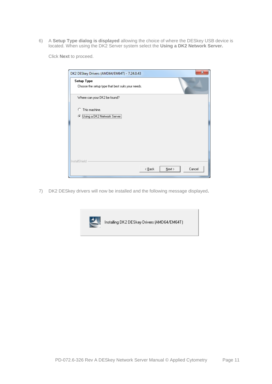6) A **Setup Type dialog is displayed** allowing the choice of where the DESkey USB device is located. When using the DK2 Server system select the **Using a DK2 Network Server.**

Click **Next** to proceed.

| X<br>DK2 DESkey Drivers (AMD64/EM64T) - 7.24.0.43               |  |
|-----------------------------------------------------------------|--|
| Setup Type<br>Choose the setup type that best suits your needs. |  |
| Where can your DK2 be found?                                    |  |
| О.<br>This machine.                                             |  |
| C Using a DK2 Network Server                                    |  |
|                                                                 |  |
|                                                                 |  |
|                                                                 |  |
|                                                                 |  |
|                                                                 |  |
| InstallShield                                                   |  |
| < <u>B</u> ack<br>$N$ ext ><br>Cancel                           |  |

7) DK2 DESkey drivers will now be installed and the following message displayed**.**

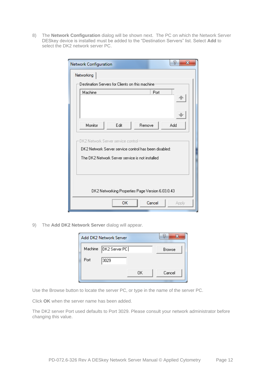8) The **Network Configuration** dialog will be shown next. The PC on which the Network Server DESkey device is installed must be added to the "Destination Servers" list. Select **Add** to select the DK2 network server PC.

| Network Configuration                                 | P<br>$\mathbf x$ |  |  |  |  |
|-------------------------------------------------------|------------------|--|--|--|--|
| Networking                                            |                  |  |  |  |  |
| Destination Servers for Clients on this machine       |                  |  |  |  |  |
| Machine                                               | Port             |  |  |  |  |
| Monitor<br>Edit<br>Remove                             | Add              |  |  |  |  |
| DK2 Network Server service control-                   |                  |  |  |  |  |
| DK2 Network Server service control has been disabled: |                  |  |  |  |  |
| The DK2 Network Server service is not installed       |                  |  |  |  |  |
| DK2 Networking Properties Page Version 6.03.0.43      |                  |  |  |  |  |
| ок                                                    | Cancel<br>Apply  |  |  |  |  |

9) The **Add DK2 Network Server** dialog will appear.

| Machine   DK2 Server PC |        |
|-------------------------|--------|
|                         |        |
| ΩK                      | Cancel |
|                         |        |

Use the Browse button to locate the server PC, or type in the name of the server PC.

Click **OK** when the server name has been added.

The DK2 server Port used defaults to Port 3029. Please consult your network administrator before changing this value.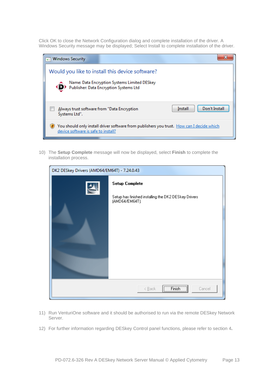Click OK to close the Network Configuration dialog and complete installation of the driver. A Windows Security message may be displayed; Select Install to complete installation of the driver.

| <b>Windows Security</b>                                       |                                                                                        |                                                                                           |
|---------------------------------------------------------------|----------------------------------------------------------------------------------------|-------------------------------------------------------------------------------------------|
|                                                               | Would you like to install this device software?                                        |                                                                                           |
|                                                               | Name: Data Encryption Systems Limited DESkey<br>Publisher: Data Encryption Systems Ltd |                                                                                           |
| Always trust software from "Data Encryption"<br>Systems Ltd". |                                                                                        | Don't Install<br>Install                                                                  |
| device software is safe to install?                           |                                                                                        | You should only install driver software from publishers you trust. How can I decide which |

10) The **Setup Complete** message will now be displayed, select **Finish** to complete the installation process.

| DK2 DESkey Drivers (AMD64/EM64T) - 7.24.0.43 |                                                                                                 |  |
|----------------------------------------------|-------------------------------------------------------------------------------------------------|--|
| $\blacktriangle$                             | <b>Setup Complete</b><br>Setup has finished installing the DK2 DESkey Drivers<br>(AMD64/EM64T). |  |
|                                              | $[$ Finish $]$<br>< <u>B</u> ack<br>Cancel                                                      |  |

- 11) Run VenturiOne software and it should be authorised to run via the remote DESkey Network Server.
- 12) For further information regarding DESkey Control panel functions, please refer to section [4](#page-15-0)**.**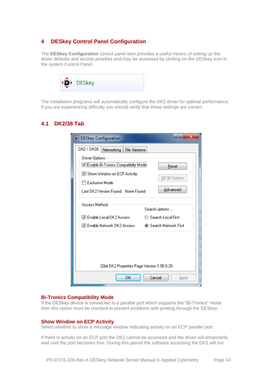# <span id="page-15-0"></span>**4 DESkey Control Panel Configuration**

The **DESkey Configuration** control panel item provides a useful means of setting up the driver defaults and access priorities and may be accessed by clicking on the DESkey icon in the system Control Panel.



The installation programs will automatically configure the DK2 driver for optimal performance. If you are experiencing difficulty you should verify that these settings are correct.

# <span id="page-15-1"></span>**4.1 DK2/38 Tab**

| D DESkey Configuration                                                                                                                                         | x<br>Р                            |
|----------------------------------------------------------------------------------------------------------------------------------------------------------------|-----------------------------------|
| DK2 / DK38<br>Networking File Versions                                                                                                                         |                                   |
| Driver Options<br><b>V</b> Enable Bi-Tronics Compatibilty Mode<br>V Show Window on ECP Activity<br>$\Box$ Exclusive Mode<br>Last DK2 Version Found: None Found | Reset<br>DK38 Options<br>Advanced |
| Access Method<br>Search options                                                                                                                                |                                   |
| <b>V</b> Enable Local DK2 Access                                                                                                                               | ◯ Search Local First              |
| IVI Enable Network DK2 Access                                                                                                                                  | ● Search Network First            |
| 32bit DK2 Properties Page Version 1.90.0.20                                                                                                                    |                                   |
| OK<br>Cancel                                                                                                                                                   | Apply                             |

#### **Bi-Tronics Compatibility Mode**

If the DESkey device is connected to a parallel port which supports the "Bi-Tronics" mode then this option must be checked to prevent problems with printing through the DESkey.

## **Show Window on ECP Activity**

Select whether to show a message window indicating activity on an ECP parallel port.

If there is activity on an ECP port the DK2 cannot be accessed and the driver will temporarily wait until the port becomes free. During this period the software accessing the DK2 will not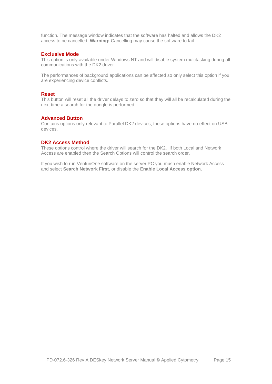function. The message window indicates that the software has halted and allows the DK2 access to be cancelled. **Warning:** Cancelling may cause the software to fail.

#### **Exclusive Mode**

This option is only available under Windows NT and will disable system multitasking during all communications with the DK2 driver.

The performances of background applications can be affected so only select this option if you are experiencing device conflicts.

## **Reset**

This button will reset all the driver delays to zero so that they will all be recalculated during the next time a search for the dongle is performed.

### **Advanced Button**

Contains options only relevant to Parallel DK2 devices, these options have no effect on USB devices.

## **DK2 Access Method**

These options control where the driver will search for the DK2. If both Local and Network Access are enabled then the Search Options will control the search order.

If you wish to run VenturiOne software on the server PC you mush enable Network Access and select **Search Network First**, or disable the **Enable Local Access option**.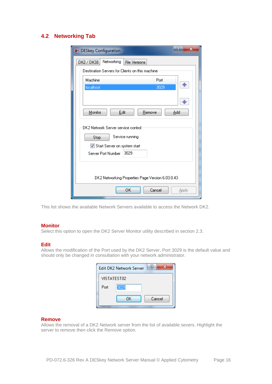# <span id="page-17-0"></span>**4.2 Networking Tab**

| P<br>$\mathbf x$<br>(D) DESkey Configuration     |  |  |
|--------------------------------------------------|--|--|
| Networking<br>DK2 / DK38<br><b>File Versions</b> |  |  |
| Destination Servers for Clients on this machine  |  |  |
| Machine<br>Port                                  |  |  |
| localhost<br>3029                                |  |  |
|                                                  |  |  |
| Monitor<br>Edit<br>Add<br>Remove                 |  |  |
| DK2 Network Server service control               |  |  |
| Service running<br>Stop                          |  |  |
| Start Server on system start                     |  |  |
| 3029<br>Server Port Number                       |  |  |
| DK2 Networking Properties Page Version 6.03.0.43 |  |  |
| OК<br>Cancel<br>Apply                            |  |  |

This list shows the available Network Servers available to access the Network DK2.

#### **Monitor**

Select this option to open the DK2 Server Monitor utility described in section [2.3.](#page-7-1)

#### **Edit**

Allows the modification of the Port used by the DK2 Server, Port 3029 is the default value and should only be changed in consultation with your network administrator.

|             | ŕ,<br><b>Edit DK2 Network Server</b> |  |
|-------------|--------------------------------------|--|
| VISTATEST02 |                                      |  |
| Port        | 3029                                 |  |
|             | Cancel<br>OΚ                         |  |

## **Remove**

Allows the removal of a DK2 Network server from the list of available severs. Highlight the server to remove then click the Remove option.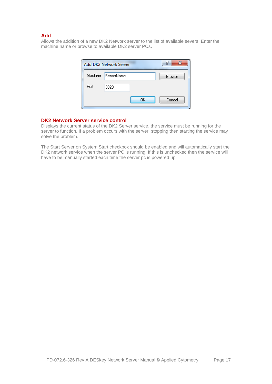## **Add**

Allows the addition of a new DK2 Network server to the list of available severs. Enter the machine name or browse to available DK2 server PCs.

|         | Add DK2 Network Server |    | v             |
|---------|------------------------|----|---------------|
| Machine | ServerName             |    | <b>Browse</b> |
| Port    | 3029                   |    |               |
|         |                        | OK | Cancel        |

#### **DK2 Network Server service control**

Displays the current status of the DK2 Server service, the service must be running for the server to function. If a problem occurs with the server, stopping then starting the service may solve the problem.

The Start Server on System Start checkbox should be enabled and will automatically start the DK2 network service when the server PC is running. If this is unchecked then the service will have to be manually started each time the server pc is powered up.